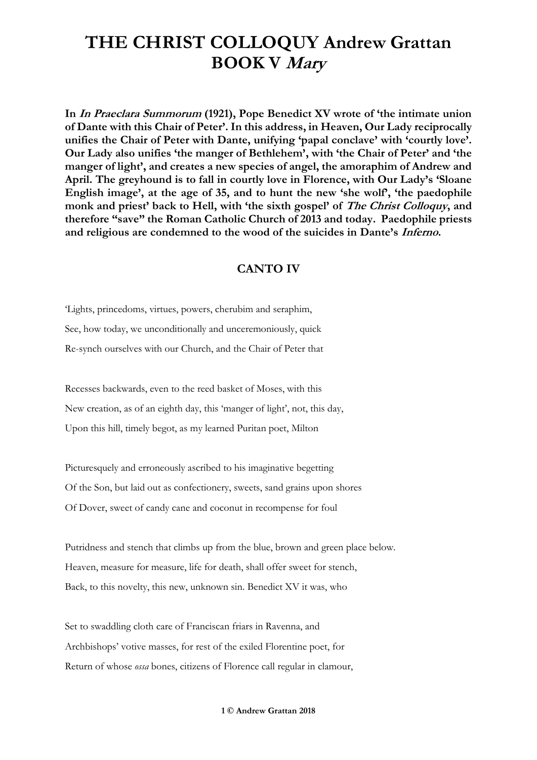**In In Praeclara Summorum (1921), Pope Benedict XV wrote of 'the intimate union of Dante with this Chair of Peter'. In this address, in Heaven, Our Lady reciprocally unifies the Chair of Peter with Dante, unifying 'papal conclave' with 'courtly love'. Our Lady also unifies 'the manger of Bethlehem', with 'the Chair of Peter' and 'the manger of light', and creates a new species of angel, the amoraphim of Andrew and April. The greyhound is to fall in courtly love in Florence, with Our Lady's 'Sloane English image', at the age of 35, and to hunt the new 'she wolf', 'the paedophile monk and priest' back to Hell, with 'the sixth gospel' of The Christ Colloquy, and therefore "save" the Roman Catholic Church of 2013 and today. Paedophile priests and religious are condemned to the wood of the suicides in Dante's Inferno.**

#### **CANTO IV**

'Lights, princedoms, virtues, powers, cherubim and seraphim, See, how today, we unconditionally and unceremoniously, quick Re-synch ourselves with our Church, and the Chair of Peter that

Recesses backwards, even to the reed basket of Moses, with this New creation, as of an eighth day, this 'manger of light', not, this day, Upon this hill, timely begot, as my learned Puritan poet, Milton

Picturesquely and erroneously ascribed to his imaginative begetting Of the Son, but laid out as confectionery, sweets, sand grains upon shores Of Dover, sweet of candy cane and coconut in recompense for foul

Putridness and stench that climbs up from the blue, brown and green place below. Heaven, measure for measure, life for death, shall offer sweet for stench, Back, to this novelty, this new, unknown sin. Benedict XV it was, who

Set to swaddling cloth care of Franciscan friars in Ravenna, and Archbishops' votive masses, for rest of the exiled Florentine poet, for Return of whose *ossa* bones, citizens of Florence call regular in clamour,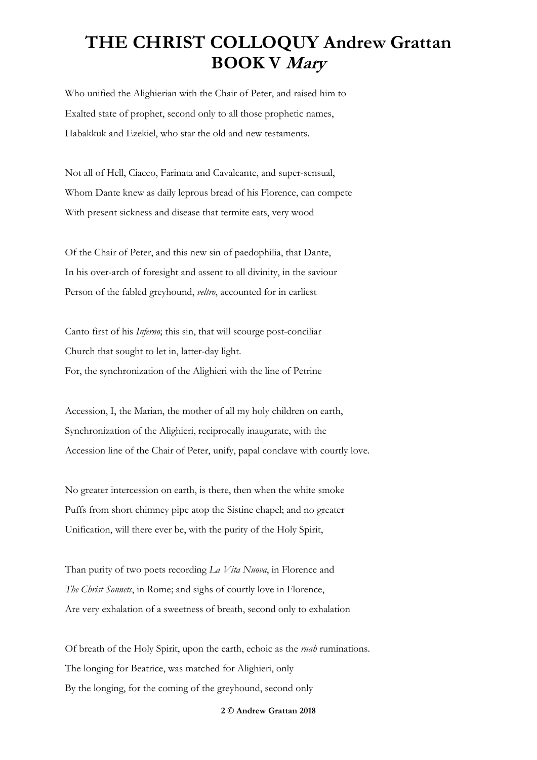Who unified the Alighierian with the Chair of Peter, and raised him to Exalted state of prophet, second only to all those prophetic names, Habakkuk and Ezekiel, who star the old and new testaments.

Not all of Hell, Ciacco, Farinata and Cavalcante, and super-sensual, Whom Dante knew as daily leprous bread of his Florence, can compete With present sickness and disease that termite eats, very wood

Of the Chair of Peter, and this new sin of paedophilia, that Dante, In his over-arch of foresight and assent to all divinity, in the saviour Person of the fabled greyhound, *veltro*, accounted for in earliest

Canto first of his *Inferno*; this sin, that will scourge post-conciliar Church that sought to let in, latter-day light. For, the synchronization of the Alighieri with the line of Petrine

Accession, I, the Marian, the mother of all my holy children on earth, Synchronization of the Alighieri, reciprocally inaugurate, with the Accession line of the Chair of Peter, unify, papal conclave with courtly love.

No greater intercession on earth, is there, then when the white smoke Puffs from short chimney pipe atop the Sistine chapel; and no greater Unification, will there ever be, with the purity of the Holy Spirit,

Than purity of two poets recording *La Vita Nuova*, in Florence and *The Christ Sonnets*, in Rome; and sighs of courtly love in Florence, Are very exhalation of a sweetness of breath, second only to exhalation

Of breath of the Holy Spirit, upon the earth, echoic as the *ruah* ruminations. The longing for Beatrice, was matched for Alighieri, only By the longing, for the coming of the greyhound, second only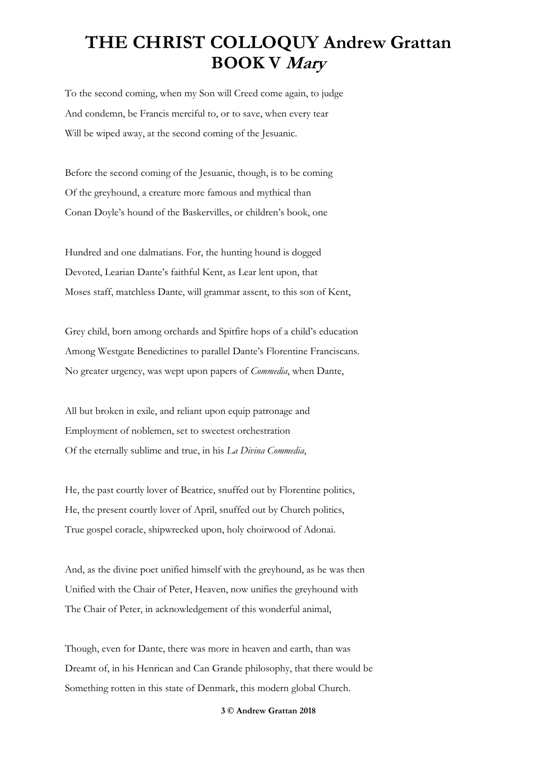To the second coming, when my Son will Creed come again, to judge And condemn, be Francis merciful to, or to save, when every tear Will be wiped away, at the second coming of the Jesuanic.

Before the second coming of the Jesuanic, though, is to be coming Of the greyhound, a creature more famous and mythical than Conan Doyle's hound of the Baskervilles, or children's book, one

Hundred and one dalmatians. For, the hunting hound is dogged Devoted, Learian Dante's faithful Kent, as Lear lent upon, that Moses staff, matchless Dante, will grammar assent, to this son of Kent,

Grey child, born among orchards and Spitfire hops of a child's education Among Westgate Benedictines to parallel Dante's Florentine Franciscans. No greater urgency, was wept upon papers of *Commedia*, when Dante,

All but broken in exile, and reliant upon equip patronage and Employment of noblemen, set to sweetest orchestration Of the eternally sublime and true, in his *La Divina Commedia*,

He, the past courtly lover of Beatrice, snuffed out by Florentine politics, He, the present courtly lover of April, snuffed out by Church politics, True gospel coracle, shipwrecked upon, holy choirwood of Adonai.

And, as the divine poet unified himself with the greyhound, as he was then Unified with the Chair of Peter, Heaven, now unifies the greyhound with The Chair of Peter, in acknowledgement of this wonderful animal,

Though, even for Dante, there was more in heaven and earth, than was Dreamt of, in his Henrican and Can Grande philosophy, that there would be Something rotten in this state of Denmark, this modern global Church.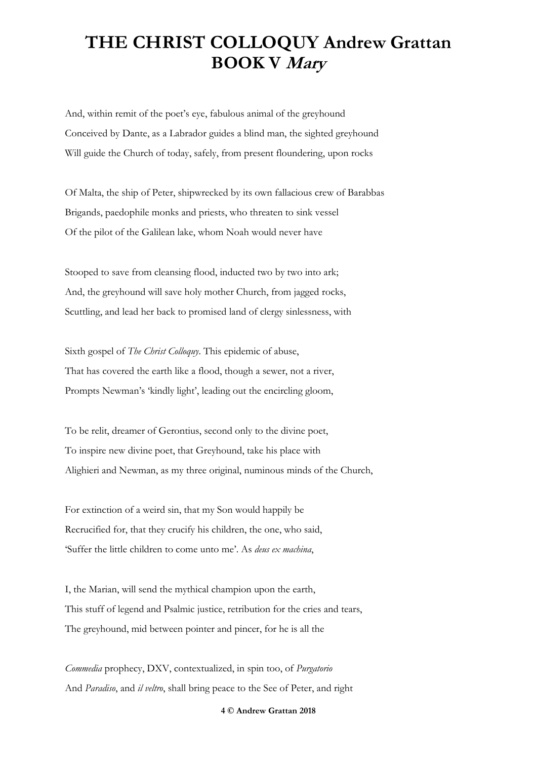And, within remit of the poet's eye, fabulous animal of the greyhound Conceived by Dante, as a Labrador guides a blind man, the sighted greyhound Will guide the Church of today, safely, from present floundering, upon rocks

Of Malta, the ship of Peter, shipwrecked by its own fallacious crew of Barabbas Brigands, paedophile monks and priests, who threaten to sink vessel Of the pilot of the Galilean lake, whom Noah would never have

Stooped to save from cleansing flood, inducted two by two into ark; And, the greyhound will save holy mother Church, from jagged rocks, Scuttling, and lead her back to promised land of clergy sinlessness, with

Sixth gospel of *The Christ Colloquy*. This epidemic of abuse, That has covered the earth like a flood, though a sewer, not a river, Prompts Newman's 'kindly light', leading out the encircling gloom,

To be relit, dreamer of Gerontius, second only to the divine poet, To inspire new divine poet, that Greyhound, take his place with Alighieri and Newman, as my three original, numinous minds of the Church,

For extinction of a weird sin, that my Son would happily be Recrucified for, that they crucify his children, the one, who said, 'Suffer the little children to come unto me'. As *deus ex machina*,

I, the Marian, will send the mythical champion upon the earth, This stuff of legend and Psalmic justice, retribution for the cries and tears, The greyhound, mid between pointer and pincer, for he is all the

*Commedia* prophecy, DXV, contextualized, in spin too, of *Purgatorio* And *Paradiso*, and *il veltro*, shall bring peace to the See of Peter, and right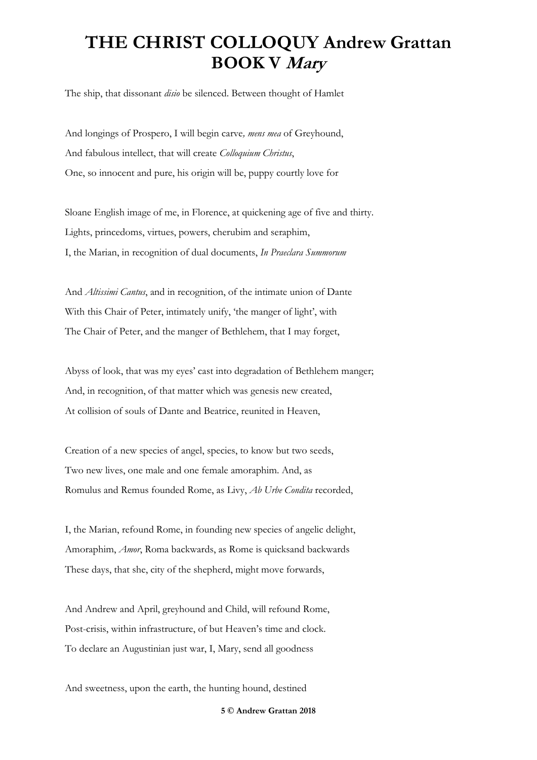The ship, that dissonant *disio* be silenced. Between thought of Hamlet

And longings of Prospero, I will begin carve*, mens mea* of Greyhound, And fabulous intellect, that will create *Colloquium Christus*, One, so innocent and pure, his origin will be, puppy courtly love for

Sloane English image of me, in Florence, at quickening age of five and thirty. Lights, princedoms, virtues, powers, cherubim and seraphim, I, the Marian, in recognition of dual documents, *In Praeclara Summorum*

And *Altissimi Cantus*, and in recognition, of the intimate union of Dante With this Chair of Peter, intimately unify, 'the manger of light', with The Chair of Peter, and the manger of Bethlehem, that I may forget,

Abyss of look, that was my eyes' cast into degradation of Bethlehem manger; And, in recognition, of that matter which was genesis new created, At collision of souls of Dante and Beatrice, reunited in Heaven,

Creation of a new species of angel, species, to know but two seeds, Two new lives, one male and one female amoraphim. And, as Romulus and Remus founded Rome, as Livy, *Ab Urbe Condita* recorded,

I, the Marian, refound Rome, in founding new species of angelic delight, Amoraphim, *Amor*, Roma backwards, as Rome is quicksand backwards These days, that she, city of the shepherd, might move forwards,

And Andrew and April, greyhound and Child, will refound Rome, Post-crisis, within infrastructure, of but Heaven's time and clock. To declare an Augustinian just war, I, Mary, send all goodness

And sweetness, upon the earth, the hunting hound, destined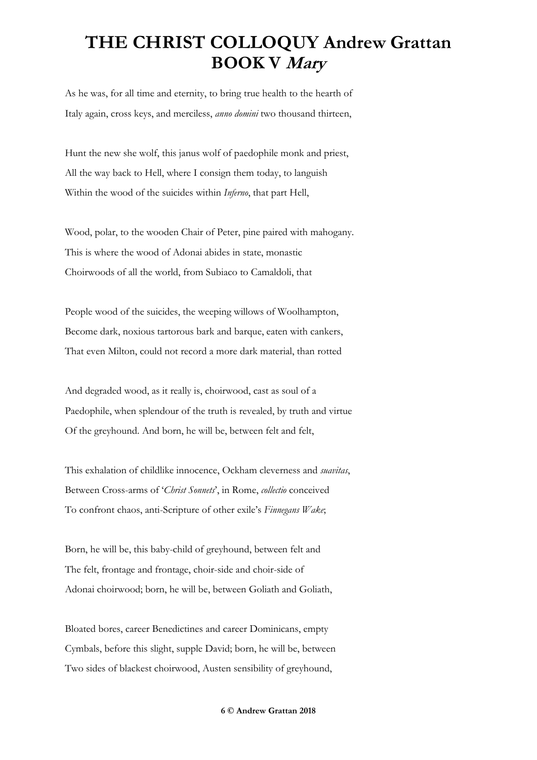As he was, for all time and eternity, to bring true health to the hearth of Italy again, cross keys, and merciless, *anno domini* two thousand thirteen,

Hunt the new she wolf, this janus wolf of paedophile monk and priest, All the way back to Hell, where I consign them today, to languish Within the wood of the suicides within *Inferno*, that part Hell,

Wood, polar, to the wooden Chair of Peter, pine paired with mahogany. This is where the wood of Adonai abides in state, monastic Choirwoods of all the world, from Subiaco to Camaldoli, that

People wood of the suicides, the weeping willows of Woolhampton, Become dark, noxious tartorous bark and barque, eaten with cankers, That even Milton, could not record a more dark material, than rotted

And degraded wood, as it really is, choirwood, cast as soul of a Paedophile, when splendour of the truth is revealed, by truth and virtue Of the greyhound. And born, he will be, between felt and felt,

This exhalation of childlike innocence, Ockham cleverness and *suavitas*, Between Cross-arms of '*Christ Sonnets*', in Rome, *collectio* conceived To confront chaos, anti-Scripture of other exile's *Finnegans Wake*;

Born, he will be, this baby-child of greyhound, between felt and The felt, frontage and frontage, choir-side and choir-side of Adonai choirwood; born, he will be, between Goliath and Goliath,

Bloated bores, career Benedictines and career Dominicans, empty Cymbals, before this slight, supple David; born, he will be, between Two sides of blackest choirwood, Austen sensibility of greyhound,